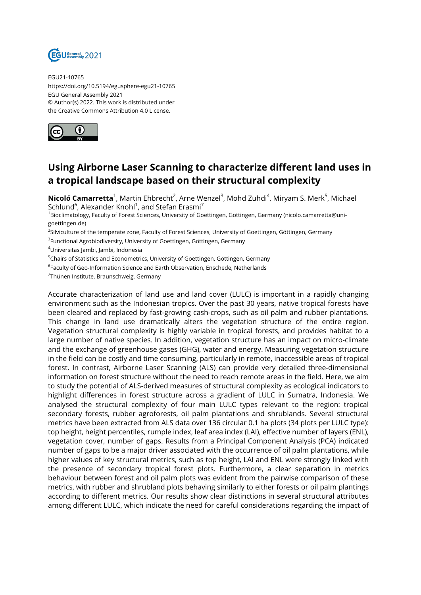

EGU21-10765 https://doi.org/10.5194/egusphere-egu21-10765 EGU General Assembly 2021 © Author(s) 2022. This work is distributed under the Creative Commons Attribution 4.0 License.



## **Using Airborne Laser Scanning to characterize different land uses in a tropical landscape based on their structural complexity**

**Nicoló Camarretta**<sup>1</sup>, Martin Ehbrecht<sup>2</sup>, Arne Wenzel<sup>3</sup>, Mohd Zuhdi<sup>4</sup>, Miryam S. Merk<sup>5</sup>, Michael Schlund $^6$ , Alexander Knohl $^1$ , and Stefan Erasmi $^7$ 

<sup>1</sup>Bioclimatology, Faculty of Forest Sciences, University of Goettingen, Göttingen, Germany (nicolo.camarretta@unigoettingen.de)

<sup>2</sup>Silviculture of the temperate zone, Faculty of Forest Sciences, University of Goettingen, Göttingen, Germany

 $^3$ Functional Agrobiodiversity, University of Goettingen, Göttingen, Germany

<sup>4</sup>Universitas Jambi, Jambi, Indonesia

<sup>5</sup>Chairs of Statistics and Econometrics, University of Goettingen, Göttingen, Germany

 $^6$ Faculty of Geo-Information Science and Earth Observation, Enschede, Netherlands

<sup>7</sup>Thünen Institute, Braunschweig, Germany

Accurate characterization of land use and land cover (LULC) is important in a rapidly changing environment such as the Indonesian tropics. Over the past 30 years, native tropical forests have been cleared and replaced by fast-growing cash-crops, such as oil palm and rubber plantations. This change in land use dramatically alters the vegetation structure of the entire region. Vegetation structural complexity is highly variable in tropical forests, and provides habitat to a large number of native species. In addition, vegetation structure has an impact on micro-climate and the exchange of greenhouse gases (GHG), water and energy. Measuring vegetation structure in the field can be costly and time consuming, particularly in remote, inaccessible areas of tropical forest. In contrast, Airborne Laser Scanning (ALS) can provide very detailed three-dimensional information on forest structure without the need to reach remote areas in the field. Here, we aim to study the potential of ALS-derived measures of structural complexity as ecological indicators to highlight differences in forest structure across a gradient of LULC in Sumatra, Indonesia. We analysed the structural complexity of four main LULC types relevant to the region: tropical secondary forests, rubber agroforests, oil palm plantations and shrublands. Several structural metrics have been extracted from ALS data over 136 circular 0.1 ha plots (34 plots per LULC type): top height, height percentiles, rumple index, leaf area index (LAI), effective number of layers (ENL), vegetation cover, number of gaps. Results from a Principal Component Analysis (PCA) indicated number of gaps to be a major driver associated with the occurrence of oil palm plantations, while higher values of key structural metrics, such as top height, LAI and ENL were strongly linked with the presence of secondary tropical forest plots. Furthermore, a clear separation in metrics behaviour between forest and oil palm plots was evident from the pairwise comparison of these metrics, with rubber and shrubland plots behaving similarly to either forests or oil palm plantings according to different metrics. Our results show clear distinctions in several structural attributes among different LULC, which indicate the need for careful considerations regarding the impact of